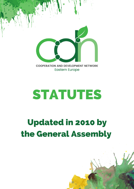

**Eastern Europe** 

# **STATUTES**

# **Updated in 2010 by** the General Assembly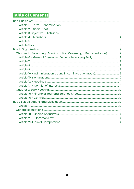# **Table of Contents**

| Chapter 1 - Managing (Administration Governing - Representation)7 |  |
|-------------------------------------------------------------------|--|
|                                                                   |  |
|                                                                   |  |
|                                                                   |  |
|                                                                   |  |
|                                                                   |  |
|                                                                   |  |
|                                                                   |  |
|                                                                   |  |
|                                                                   |  |
|                                                                   |  |
|                                                                   |  |
|                                                                   |  |
|                                                                   |  |
|                                                                   |  |
|                                                                   |  |
|                                                                   |  |
|                                                                   |  |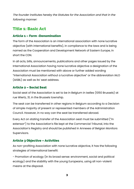The founder institutes hereby the Statutes for the Association and that in the following manner:

## <span id="page-2-0"></span>Title 1: Basic Act

#### <span id="page-2-3"></span>Article 1 – Form -Denomination

The form of the Association is an international association with none lucrative objective (with international benefits), in compliance to the laws and is being named as the Cooperation and Development Network of Eastern Europe, in short the CDN.

In all acts, bills, announcements, publications and other pages issued by the International Association having none lucrative objective a designation of the Association must be mentioned with above or further added wording "International Association without a lucrative objective" or the abbreviation IALO (AISBL) as well as its' seat address.

#### <span id="page-2-2"></span>Article 2 – Social Seat

Social seat of the Association is set to be in Belgium in Ixelles (1050 Brussels) at rue Wiertz, 31, in the Brussels township.

The seat can be transferred in other regions in Belgium according to a Decision of simple majority of present or represented members of the Administration Council. However, in no way can the seat be transferred abroad.

Every Act on stating transfer of the Association seat must be submitted ("in extensor") to the Association's file kept at the Commercial Tribunal, into the Association's Registry and should be published in Annexes of Belgian Monitors Supervisors.

#### <span id="page-2-1"></span>Article 3 Objective – Activities

As non-profiting Association with none lucrative objective, it has the following strategies of international benefit:

- Promotion of ecology (in its broad sense: environment, social and political ecology) and the stability with the young Europeans, using all non-violent means at the disposal.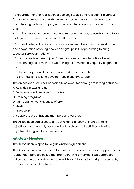- Encouragement for realization of ecology studies and reflections in various forms (in its broad sense) with the young democrats of the whole Europe, accentuating Eastern Europe (European countries non-members of European Union).

- To unite the young people of various European nations, to establish and favor dialogues on regional and national differences

- To coordinate joint actions of organizations members towards development and cooperation of young people and groups in Europe, aiming to bring together European nations

- To promote objectives of joint "green" actions at the international level

- To defend rights of men and women, rights of minorities, equality of genders and

the democracy, as well as the means for democratic action

- To promote long lasting development in Eastern Europe.

The objectives quest shall specifically be executed through following activities:

- A. Activities in exchanging
- B. Seminaries and reunions for studies
- C. Training programs
- D. Campaign on sensitiveness efforts
- E. Meetings
- F. Study visits
- G. Support to organizations members and partners

The Association can execute any act relating directly or indirectly to its objectives. It can namely assist and get involved in all activities following objectives being similar to own ones.

#### <span id="page-3-0"></span>Article 4 – Members

The Association is open to Belgian and foreign persons.

The Association is composed of factual members and members supporters. The factual members are called the "members" while members supporters are called "partners". Only the members will have full associates' rights assured by the Law and present Statues.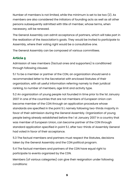Number of members is not limited, while the minimum is set to be two (2). As members are also considered the initiators of founding acts as well as all other persons subsequently admitted with title of member, whose terms, when necessary, will be renewed.

The General Assembly can admit acceptance of partners, which will take part in the realization of the Association's goals. They would be invited to participate to Assembly, where their voting right would be a consultative one.

The General Assembly can be composed of various committees.

#### <span id="page-4-0"></span>Article 5

Admission of new members (factual ones and supporters) is conditioned through following clauses:

5.1 To be a member or partner of the CDN, an organization should send a recommended letter to the Secretariat with enclosed Statutes of their organization, with all useful information referring namely to their juridical ranking, to number of members, age limit and activity type.

5.2 An organization of young people not founded in time prior to the 1st January 2007 in one of the countries that are not members of European Union can become member of the CDN through an application procedure whose standards are specified in the point 5.1, namely following two-thirds majority in favor of their admission during the General Assembly. Organization of young people being already established before the 1 st January 2007 in a country that was member of European Union, can become partner of the CDN through standard application specified in point 5.1, after two-thirds of Assembly General had voted in favor of their acceptance.

5.3 The factual members and partners must respect the Statutes, decisions taken by the General Assembly and the CDN political program.

5.4 The factual members and partners of the CDN have equal right to participate to events organized by the CDN.

Members (of various categories) can give their resignation under following conditions:

5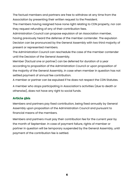The factual members and partners are free to withdraw at any time from the Association by presenting their written request to the President.

The members having resigned have none right relating to CDN property, nor can they request refunding of any of their contribution fees.

Administration Council can propose expulsion of an Association member,

having previously heard the defense of the member contender. The expulsion Decision can be pronounced by the General Assembly with two third majority of present or represented members.

The Administration Council can reschedule the case of the member contender until the Decision of the General Assembly.

Member (factual one or partner) can be deferred for duration of a year according to proposition of the Administration Council or upon proposition of the majority of the General Assembly, in case when member in question has not settled payment of annual fee contribution.

A member or partner can be expulsed if he does not respect the CDN Statutes.

A member who stops participating in Association's activities (due to death or otherwise), does not have any right to social funds.

#### <span id="page-5-0"></span>Article 5bis

Members and partners pay fixed contribution, being fixed annually by General Assembly upon proposition of the Administration Council and pursuant to financial means of the members.

Members and partners must pay their contribution fee for the current year by the month of September. In case of payment failure, rights of member or partner in question will be temporary suspended by the General Assembly, until payment of the contribution fee is settled.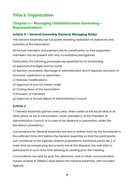# <span id="page-6-3"></span>Title 2: Organization

#### <span id="page-6-2"></span>Chapter 1 – Managing (Administration Governing – Representation)

#### <span id="page-6-1"></span>Article 6 – General Assembly (General Managing Body)

The General Assembly has full power enabling realization of objectives and activities of the Association.

All factual members and partners are its constituents, so that supporters members can be present with only consultative prerogatives.

Particularly, the following processes are essential for its functioning:

- a) Approval of budget and accounts
- b) Election, revocation, discharge of administrators and if required, exclusion of accounts' supervisors or examiners
- c) Statutes modifications
- d) Approval of acts for interior order
- e) Closing down of the Association
- f) Exclusion of members
- g) Approval of Annual Report of Administration Council

#### <span id="page-6-0"></span>Article 7

7.1 General Assembly gathers every year, when suited at the social seat or at other place as set in convocation, under presidency of the President of Administration Council, or in case of his absence or prevention, under the Secretary's presidency.

Convocations for General Assembly are sent in written form by the Secretariat in the sufficient time limit before the General Assembly so that the participants can contribute to the Agenda (submit propositions, functional points etc.), in order that accompanying documents are at the disposal (via web site) to participants in such time limit allowing its reading prior the meeting.

Convocations are sent by post, fax, electronic mail or other communication means at least 15 (fifteen) days before the General Assembly, with included Agenda.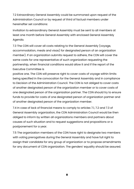7.2 Extraordinary General Assembly could be summoned upon request of the Administration Council or by request of third of factual members under hereinafter set conditions:

Invitation to extraordinary General Assembly must be sent to all members at least one month before General Assembly with enclosed General Assembly Agenda.

7.3 The CDN will cover all costs relating to the General Assembly (voyage, accommodation, meals and visas) for designated person of an organization member). If an organization submits request to adhere, the CDN will cover the same costs for one representative of such organization requesting the partnership, when financial conditions would allow it and if the report of the Executive Committee is

positive one. The CDN will preserve right to cover costs of voyage within limits being specified in the convocation for the General Assembly and in compliance to Decision of the Administration Council. The CDN is not obliged to cover costs of another designated person of the organization member or to cover costs of one designated person of the organization partner. The CDN should try to ensure funds to provide for costs of one designated person of organization partner and of another designated person of the organization member.

7.4 In case of lack of financial means to comply to articles 7.1, 7.2 and 7.3 of General Assembly organization, the CDN Administration Council would be then obliged to inform by written all organizations members and partners about causes of such situation and to request suggestions and propositions or a postponement for a year.

7.5 The organization members of the CDN have right to designate two members with voting prerogatives during the General Assembly and have full right to assign their candidate for any group of organization or to propose amendments for any document of CDN organization. The genders' equality should be assured.

8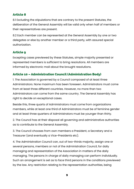#### <span id="page-8-2"></span>Article 8

8.1 Excluding the stipulations that are contrary to the present Statutes, the deliberation of the General Assembly will be valid only when half of members or their representatives are present.

8.2 Each member can be represented at the General Assembly by one or two delegates or else by another member or a third party, with assured special authorization.

#### <span id="page-8-1"></span>Article 9

Excepting cases previewed by these Statutes, simple majority presented or represented members is sufficient to bring resolutions. All members are informed by electronic mail about the brought resolutions.

#### <span id="page-8-0"></span>Article 10 – Administration Council (Administration Body)

1. The Association is governed by a Council composed of at least three Administrators. None maximum has been foreseen. Administrators must come from at least three different countries. However, no more than two Administrators can come from the same country. The General Assembly has right to decide on exceptional cases.

Beside this, three quarts of Administrators must come from organizations members, while at least one third of Administrators must be of feminine gender and at least three quarters of Administrators must be younger than thirty.

2. The Council has at their disposal all governing and administrative authorities as to contribute to the General Assembly.

3. The Council chooses from own members a President, a Secretary and a Treasurer (and eventually a Vice-Presidents etc).

4. The Administration Council can, out of two-thirds majority, assign one or several persons, members or not of the Administration Council, for daily managing and representation of the Association in matters of the daily managing. The persons in charge of daily managing can perform individually. Such an arrangement is set as to face third persons in the conditions previewed by the law. Any restriction relating to the representation authorities, being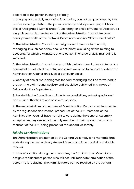accorded to the person in charge of daily

managing; for the daily managing functioning; can not be questioned by third parties, even if published. The person in charge of daily managing will have a title of "Designated Administrator \ Secretary" or a title of "General Director", as long this person is member or not of the Administration Council. He could equally have a title of the "Network Coordinator and or "Office Coordinator".

5. The Administration Council can assign several persons for the daily managing. In such case, they should act jointly, excluding affairs relating to accounts, for which a signature of one person in charge of daily managing is sufficient.

6. The Administration Council can establish a whole consultative center or any equivalent if evaluated as useful, whose role would be to counsel or advise the Administration Council on issues of particular cases.

7. Identity of one or more delegates for daily managing shall be forwarded to the Commercial Tribunal Registry and should be published in Annexes of Belgian Monitors Supervisors.

8. Beside this, the Council can, within its responsibilities, entrust special and particular authorities to one or several persons.

9. The responsibilities of members of Administration Council shall be specified by the regulations and internal procedures of the CDN. Members of the Administration Council have no right to vote during the General Assembly, except when they are in fact the only member of their organization who is member of the CDN, being present at the General Assembly.

#### <span id="page-9-0"></span>Article 11- Nominations

The Administrators are named by the General Assembly for a mandate that ends during the next ordinary General Assembly, with a possibility of double renewal.

In case of vacation during their mandates, the Administration Council can assign a replacement person who will act until mandate termination of the person he is replacing. The Administrators can be revoked by the General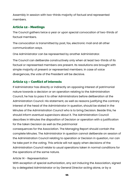Assembly in session with two-thirds majority of factual and represented members.

#### <span id="page-10-1"></span>Article 12 - Meetings

The Council gathers twice a year or upon special convocation of two-thirds of factual members.

The convocation is transmitted by post, fax, electronic mail and all other communication ways.

One Administrator can be represented by another Administrator.

The Council can deliberate constructively only when at least two-thirds of its factual or represented members are present. Its resolutions are brought with simple majority of present or represented members. In case of voice divergences, the vote of the President will be decisive.

#### <span id="page-10-0"></span>Article 13 – Conflict of interests

If Administrator has directly or indirectly an opposing interest of patrimonial nature towards a decision or an operation relating to the Administration Council, he has to pass it to other Administrators before deliberation at the Administration Council. His statement, as well as reasons justifying the contrary interest of the head of the Administrator in question, should be stated in the Minutes of the Administration Council who is to bring Decision. Beside this, he should inform eventual supervisors about it. The Administration Council describes in Minutes the disposition of Decision or operation with a justification for the taken Decision as well as the patrimonial

consequences for the Association. The Managing Report should contain the complete Minutes. The Administrator in question cannot deliberate on session of the Administration Council relating to operation or Decision in question, nor can he take part in the voting. This article will not apply when decisions of the Administration Council relate to usual operations taken in normal conditions for the operations of the same nature.

#### Article 14 - Representation

With exception of special authorization, any act inducing the Association, signed by a delegated Administrator or by General Director acting alone, or by a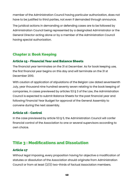member of the Administration Council having particular authorization, does not have to be justified to third parties, not even if demanded through announce.

The juridical actions in demanding or defending cases are to be followed by Administration Council being represented by a designated Administrator or the General Director acting alone or by a member of the Administration Council having special authorization.

#### <span id="page-11-4"></span>Chapter 2: Book Keeping

#### <span id="page-11-3"></span>Article 15 - Financial Year and Balance Sheets

The financial year terminates on the 31 st December. As for book keeping use, the first financial year begins on this day and will terminate on the 31 st December 2010.

With caution of application of stipulations of the Belgian Law dated seventeenth July, year thousand nine hundred seventy seven relating to the book keeping of companies, in cases previewed by articles 53 § 3 of the Law, the Administration Council is expected to submit Balance Sheets for the past financial year and following Financial Year Budget for approval of the General Assembly to convene during the next assembly.

#### <span id="page-11-2"></span>Article 16 - Control

In the case previewed by article 53 § 5, the Administration Council will confer financial control of the Association to one or several supervisors according to own choice.

### <span id="page-11-1"></span>Title 3 : Modifications and Dissolution

#### <span id="page-11-0"></span>Article 17

Without legal imposing, every proposition having for objective a modification of statutes or dissolution of the Association should originate from Administration Council or from at least (2/3) two-thirds of factual Association members.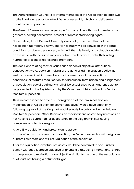The Administration Council is to inform members of the Association at least two moths in advance prior to date of General Assembly which is to deliberate about given proposition.

The General Assembly can properly perform only if two-thirds of members are gathered, having deliberative, present or represented voting rights.

Nonetheless, if that General Assembly does not gather two-thirds of the Association members, a new General Assembly will be convoked in the same conditions as above designated, which will then definitely and valuably decide on the issue, with the same majority of two-thirds of votes, notwithstanding number of present or represented members.

The decisions relating to vital issues such as social objective, attributions, convocation ways, decision making of the general administration bodies, as well as manner in which members are informed about the resolutions, conditions for statutes modification, for dissolution, termination and assignment of Association' social patrimony shall all be established by an authentic act to be presented to the Registry kept by the Commercial Tribunal and by Belgian Monitors Supervisors.

Thus, in compliance to article 50, paragraph 3 of the Law, resolution on modification of Association objective (objectives) would have effect only following approval of the King that would equally be published in the Belgian Monitors Supervisors. Other Decisions on modifications of statutory mentions do not have to be submitted for acceptance to the Belgian minister having competence or to his delegate.

Article 18 – Liquidation and pretension to assets

In case of juridical or voluntary dissolution, the General Assembly will assign one or more liquidators and will set liquidation of the Asociation.

After the liquidation, eventual net assets would be conferred to one juridical person without a lucrative objective or private claims, being international or not, in compliance to realization of an objective similar to the one of the Association or at least not having a detrimental goal.

13